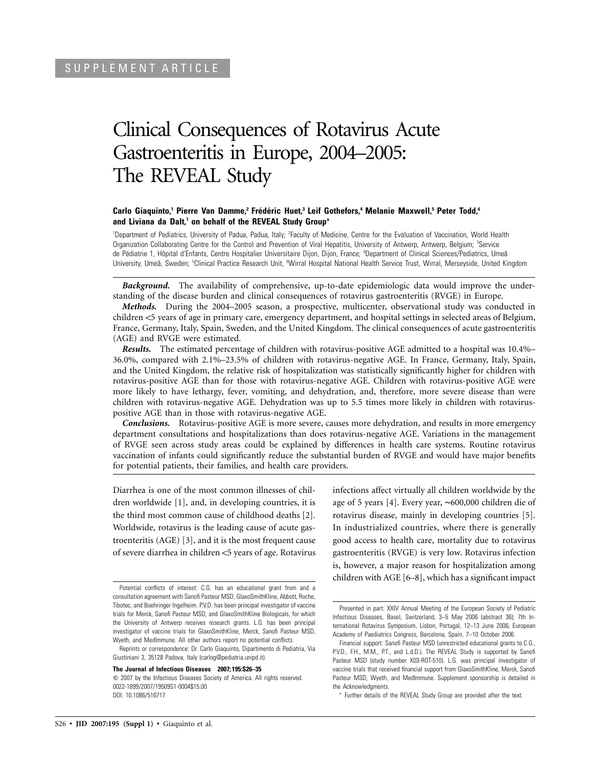# Clinical Consequences of Rotavirus Acute Gastroenteritis in Europe, 2004–2005: The REVEAL Study

## **Carlo Giaquinto,<sup>1</sup> Pierre Van Damme,<sup>2</sup> Frédéric Huet,<sup>3</sup> Leif Gothefors,<sup>4</sup> Melanie Maxwell,<sup>5</sup> Peter Todd,<sup>6</sup>** and Liviana da Dalt,<sup>1</sup> on behalf of the REVEAL Study Group<sup>a</sup>

<sup>1</sup>Department of Pediatrics, University of Padua, Padua, Italy; <sup>2</sup>Faculty of Medicine, Centre for the Evaluation of Vaccination, World Health Organization Collaborating Centre for the Control and Prevention of Viral Hepatitis, University of Antwerp, Antwerp, Belgium; <sup>3</sup>Service de Pédiatrie 1, Hôpital d'Enfants, Centre Hospitalier Universitaire Dijon, Dijon, France; <sup>4</sup>Department of Clinical Sciences/Pediatrics, Umeå University, Umeå, Sweden; <sup>5</sup>Clinical Practice Research Unit, <sup>6</sup>Wirral Hospital National Health Service Trust, Wirral, Merseyside, United Kingdom

*Background.* The availability of comprehensive, up-to-date epidemiologic data would improve the understanding of the disease burden and clinical consequences of rotavirus gastroenteritis (RVGE) in Europe.

*Methods.* During the 2004–2005 season, a prospective, multicenter, observational study was conducted in children <5 years of age in primary care, emergency department, and hospital settings in selected areas of Belgium, France, Germany, Italy, Spain, Sweden, and the United Kingdom. The clinical consequences of acute gastroenteritis (AGE) and RVGE were estimated.

*Results.* The estimated percentage of children with rotavirus-positive AGE admitted to a hospital was 10.4%– 36.0%, compared with 2.1%–23.5% of children with rotavirus-negative AGE. In France, Germany, Italy, Spain, and the United Kingdom, the relative risk of hospitalization was statistically significantly higher for children with rotavirus-positive AGE than for those with rotavirus-negative AGE. Children with rotavirus-positive AGE were more likely to have lethargy, fever, vomiting, and dehydration, and, therefore, more severe disease than were children with rotavirus-negative AGE. Dehydration was up to 5.5 times more likely in children with rotaviruspositive AGE than in those with rotavirus-negative AGE.

*Conclusions.* Rotavirus-positive AGE is more severe, causes more dehydration, and results in more emergency department consultations and hospitalizations than does rotavirus-negative AGE. Variations in the management of RVGE seen across study areas could be explained by differences in health care systems. Routine rotavirus vaccination of infants could significantly reduce the substantial burden of RVGE and would have major benefits for potential patients, their families, and health care providers.

Diarrhea is one of the most common illnesses of children worldwide [1], and, in developing countries, it is the third most common cause of childhood deaths [2]. Worldwide, rotavirus is the leading cause of acute gastroenteritis (AGE) [3], and it is the most frequent cause of severe diarrhea in children <5 years of age. Rotavirus

**The Journal of Infectious Diseases 2007; 195:S26–35**

 $\odot$  2007 by the Infectious Diseases Society of America. All rights reserved. 0022-1899/2007/19509S1-0004\$15.00 DOI: 10.1086/516717

infections affect virtually all children worldwide by the age of 5 years [4]. Every year, ∼600,000 children die of rotavirus disease, mainly in developing countries [5]. In industrialized countries, where there is generally good access to health care, mortality due to rotavirus gastroenteritis (RVGE) is very low. Rotavirus infection is, however, a major reason for hospitalization among children with AGE [6–8], which has a significant impact

Potential conflicts of interest: C.G. has an educational grant from and a consultation agreement with Sanofi Pasteur MSD, GlaxoSmithKline, Abbott, Roche, Tibotec, and Boehringer Ingelheim. P.V.D. has been principal investigator of vaccine trials for Merck, Sanofi Pasteur MSD, and GlaxoSmithKline Biologicals, for which the University of Antwerp receives research grants. L.G. has been principal investigator of vaccine trials for GlaxoSmithKline, Merck, Sanofi Pasteur MSD, Wyeth, and MedImmune. All other authors report no potential conflicts.

Reprints or correspondence: Dr. Carlo Giaquinto, Dipartimento di Pediatria, Via Giustiniani 3, 35128 Padova, Italy (carlog@pediatria.unipd.it).

Presented in part: XXIV Annual Meeting of the European Society of Pediatric Infectious Diseases, Basel, Switzerland, 3–5 May 2006 (abstract 36); 7th International Rotavirus Symposium, Lisbon, Portugal, 12–13 June 2006; European Academy of Paediatrics Congress, Barcelona, Spain, 7–10 October 2006.

Financial support: Sanofi Pasteur MSD (unrestricted educational grants to C.G., P.V.D., F.H., M.M., P.T., and L.d.D.). The REVEAL Study is supported by Sanofi Pasteur MSD (study number X03-ROT-510). L.G. was principal investigator of vaccine trials that received financial support from GlaxoSmithKline, Merck, Sanofi Pasteur MSD, Wyeth, and MedImmune. Supplement sponsorship is detailed in the Acknowledgments.

<sup>&</sup>lt;sup>a</sup> Further details of the REVEAL Study Group are provided after the text.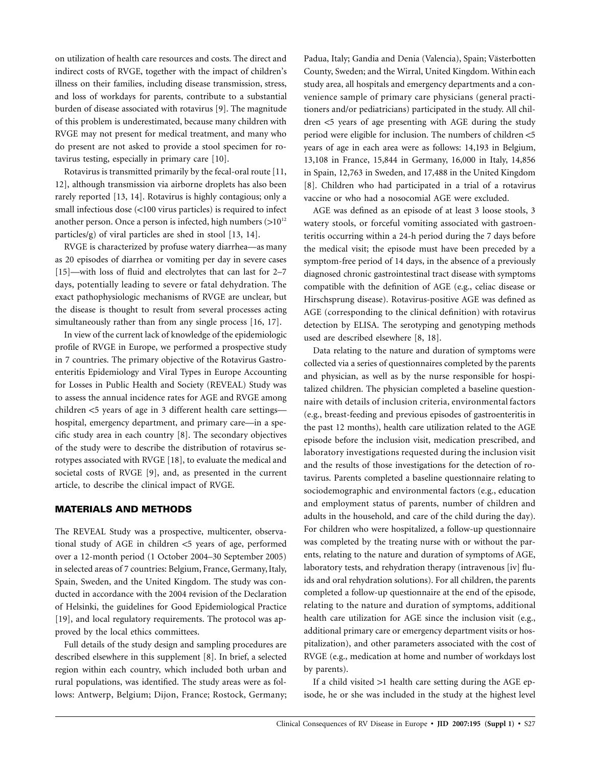on utilization of health care resources and costs. The direct and indirect costs of RVGE, together with the impact of children's illness on their families, including disease transmission, stress, and loss of workdays for parents, contribute to a substantial burden of disease associated with rotavirus [9]. The magnitude of this problem is underestimated, because many children with RVGE may not present for medical treatment, and many who do present are not asked to provide a stool specimen for rotavirus testing, especially in primary care [10].

Rotavirus is transmitted primarily by the fecal-oral route [11, 12], although transmission via airborne droplets has also been rarely reported [13, 14]. Rotavirus is highly contagious; only a small infectious dose  $\left($ <100 virus particles) is required to infect another person. Once a person is infected, high numbers  $(>10^{12}$ particles/g) of viral particles are shed in stool [13, 14].

RVGE is characterized by profuse watery diarrhea—as many as 20 episodes of diarrhea or vomiting per day in severe cases [15]—with loss of fluid and electrolytes that can last for 2–7 days, potentially leading to severe or fatal dehydration. The exact pathophysiologic mechanisms of RVGE are unclear, but the disease is thought to result from several processes acting simultaneously rather than from any single process [16, 17].

In view of the current lack of knowledge of the epidemiologic profile of RVGE in Europe, we performed a prospective study in 7 countries. The primary objective of the Rotavirus Gastroenteritis Epidemiology and Viral Types in Europe Accounting for Losses in Public Health and Society (REVEAL) Study was to assess the annual incidence rates for AGE and RVGE among children <5 years of age in 3 different health care settings hospital, emergency department, and primary care—in a specific study area in each country [8]. The secondary objectives of the study were to describe the distribution of rotavirus serotypes associated with RVGE [18], to evaluate the medical and societal costs of RVGE [9], and, as presented in the current article, to describe the clinical impact of RVGE.

## **MATERIALS AND METHODS**

The REVEAL Study was a prospective, multicenter, observational study of AGE in children  $<$  5 years of age, performed over a 12-month period (1 October 2004–30 September 2005) in selected areas of 7 countries: Belgium, France, Germany, Italy, Spain, Sweden, and the United Kingdom. The study was conducted in accordance with the 2004 revision of the Declaration of Helsinki, the guidelines for Good Epidemiological Practice [19], and local regulatory requirements. The protocol was approved by the local ethics committees.

Full details of the study design and sampling procedures are described elsewhere in this supplement [8]. In brief, a selected region within each country, which included both urban and rural populations, was identified. The study areas were as follows: Antwerp, Belgium; Dijon, France; Rostock, Germany; Padua, Italy; Gandia and Denia (Valencia), Spain; Västerbotten County, Sweden; and the Wirral, United Kingdom. Within each study area, all hospitals and emergency departments and a convenience sample of primary care physicians (general practitioners and/or pediatricians) participated in the study. All children  $<$ 5 years of age presenting with AGE during the study period were eligible for inclusion. The numbers of children  $<$  5 years of age in each area were as follows: 14,193 in Belgium, 13,108 in France, 15,844 in Germany, 16,000 in Italy, 14,856 in Spain, 12,763 in Sweden, and 17,488 in the United Kingdom [8]. Children who had participated in a trial of a rotavirus vaccine or who had a nosocomial AGE were excluded.

AGE was defined as an episode of at least 3 loose stools, 3 watery stools, or forceful vomiting associated with gastroenteritis occurring within a 24-h period during the 7 days before the medical visit; the episode must have been preceded by a symptom-free period of 14 days, in the absence of a previously diagnosed chronic gastrointestinal tract disease with symptoms compatible with the definition of AGE (e.g., celiac disease or Hirschsprung disease). Rotavirus-positive AGE was defined as AGE (corresponding to the clinical definition) with rotavirus detection by ELISA. The serotyping and genotyping methods used are described elsewhere [8, 18].

Data relating to the nature and duration of symptoms were collected via a series of questionnaires completed by the parents and physician, as well as by the nurse responsible for hospitalized children. The physician completed a baseline questionnaire with details of inclusion criteria, environmental factors (e.g., breast-feeding and previous episodes of gastroenteritis in the past 12 months), health care utilization related to the AGE episode before the inclusion visit, medication prescribed, and laboratory investigations requested during the inclusion visit and the results of those investigations for the detection of rotavirus. Parents completed a baseline questionnaire relating to sociodemographic and environmental factors (e.g., education and employment status of parents, number of children and adults in the household, and care of the child during the day). For children who were hospitalized, a follow-up questionnaire was completed by the treating nurse with or without the parents, relating to the nature and duration of symptoms of AGE, laboratory tests, and rehydration therapy (intravenous [iv] fluids and oral rehydration solutions). For all children, the parents completed a follow-up questionnaire at the end of the episode, relating to the nature and duration of symptoms, additional health care utilization for AGE since the inclusion visit (e.g., additional primary care or emergency department visits or hospitalization), and other parameters associated with the cost of RVGE (e.g., medication at home and number of workdays lost by parents).

If a child visited  $>1$  health care setting during the AGE episode, he or she was included in the study at the highest level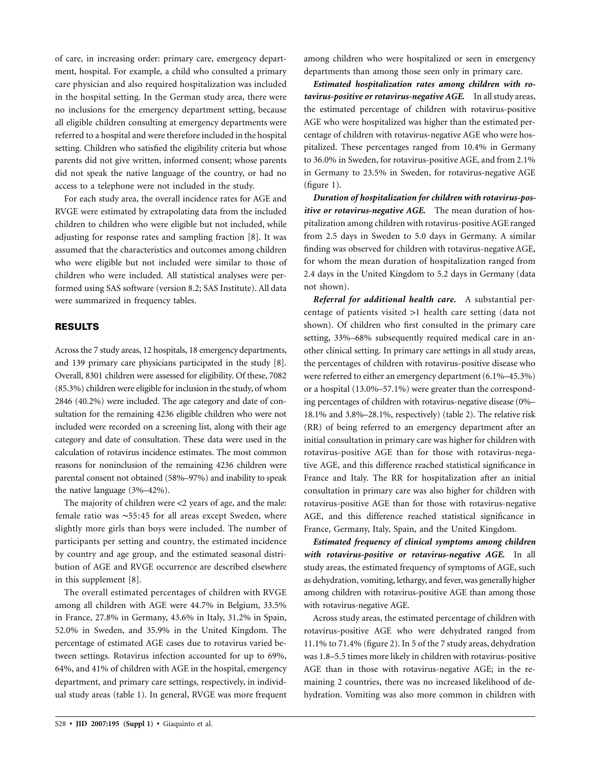of care, in increasing order: primary care, emergency department, hospital. For example, a child who consulted a primary care physician and also required hospitalization was included in the hospital setting. In the German study area, there were no inclusions for the emergency department setting, because all eligible children consulting at emergency departments were referred to a hospital and were therefore included in the hospital setting. Children who satisfied the eligibility criteria but whose parents did not give written, informed consent; whose parents did not speak the native language of the country, or had no access to a telephone were not included in the study.

For each study area, the overall incidence rates for AGE and RVGE were estimated by extrapolating data from the included children to children who were eligible but not included, while adjusting for response rates and sampling fraction [8]. It was assumed that the characteristics and outcomes among children who were eligible but not included were similar to those of children who were included. All statistical analyses were performed using SAS software (version 8.2; SAS Institute). All data were summarized in frequency tables.

# **RESULTS**

Across the 7 study areas, 12 hospitals, 18 emergency departments, and 139 primary care physicians participated in the study [8]. Overall, 8301 children were assessed for eligibility. Of these, 7082 (85.3%) children were eligible for inclusion in the study, of whom 2846 (40.2%) were included. The age category and date of consultation for the remaining 4236 eligible children who were not included were recorded on a screening list, along with their age category and date of consultation. These data were used in the calculation of rotavirus incidence estimates. The most common reasons for noninclusion of the remaining 4236 children were parental consent not obtained (58%–97%) and inability to speak the native language (3%–42%).

The majority of children were  $\langle 2 \rangle$  years of age, and the male: female ratio was ∼55:45 for all areas except Sweden, where slightly more girls than boys were included. The number of participants per setting and country, the estimated incidence by country and age group, and the estimated seasonal distribution of AGE and RVGE occurrence are described elsewhere in this supplement [8].

The overall estimated percentages of children with RVGE among all children with AGE were 44.7% in Belgium, 33.5% in France, 27.8% in Germany, 43.6% in Italy, 31.2% in Spain, 52.0% in Sweden, and 35.9% in the United Kingdom. The percentage of estimated AGE cases due to rotavirus varied between settings. Rotavirus infection accounted for up to 69%, 64%, and 41% of children with AGE in the hospital, emergency department, and primary care settings, respectively, in individual study areas (table 1). In general, RVGE was more frequent

among children who were hospitalized or seen in emergency departments than among those seen only in primary care.

*Estimated hospitalization rates among children with rotavirus-positive or rotavirus-negative AGE.* In all study areas, the estimated percentage of children with rotavirus-positive AGE who were hospitalized was higher than the estimated percentage of children with rotavirus-negative AGE who were hospitalized. These percentages ranged from 10.4% in Germany to 36.0% in Sweden, for rotavirus-positive AGE, and from 2.1% in Germany to 23.5% in Sweden, for rotavirus-negative AGE (figure 1).

*Duration of hospitalization for children with rotavirus-positive or rotavirus-negative AGE.* The mean duration of hospitalization among children with rotavirus-positive AGE ranged from 2.5 days in Sweden to 5.0 days in Germany. A similar finding was observed for children with rotavirus-negative AGE, for whom the mean duration of hospitalization ranged from 2.4 days in the United Kingdom to 5.2 days in Germany (data not shown).

*Referral for additional health care.* A substantial percentage of patients visited  $>1$  health care setting (data not shown). Of children who first consulted in the primary care setting, 33%–68% subsequently required medical care in another clinical setting. In primary care settings in all study areas, the percentages of children with rotavirus-positive disease who were referred to either an emergency department (6.1%–45.3%) or a hospital (13.0%–57.1%) were greater than the corresponding percentages of children with rotavirus-negative disease (0%– 18.1% and 3.8%–28.1%, respectively) (table 2). The relative risk (RR) of being referred to an emergency department after an initial consultation in primary care was higher for children with rotavirus-positive AGE than for those with rotavirus-negative AGE, and this difference reached statistical significance in France and Italy. The RR for hospitalization after an initial consultation in primary care was also higher for children with rotavirus-positive AGE than for those with rotavirus-negative AGE, and this difference reached statistical significance in France, Germany, Italy, Spain, and the United Kingdom.

*Estimated frequency of clinical symptoms among children with rotavirus-positive or rotavirus-negative AGE.* In all study areas, the estimated frequency of symptoms of AGE, such as dehydration, vomiting, lethargy, and fever, was generallyhigher among children with rotavirus-positive AGE than among those with rotavirus-negative AGE.

Across study areas, the estimated percentage of children with rotavirus-positive AGE who were dehydrated ranged from 11.1% to 71.4% (figure 2). In 5 of the 7 study areas, dehydration was 1.8–5.5 times more likely in children with rotavirus-positive AGE than in those with rotavirus-negative AGE; in the remaining 2 countries, there was no increased likelihood of dehydration. Vomiting was also more common in children with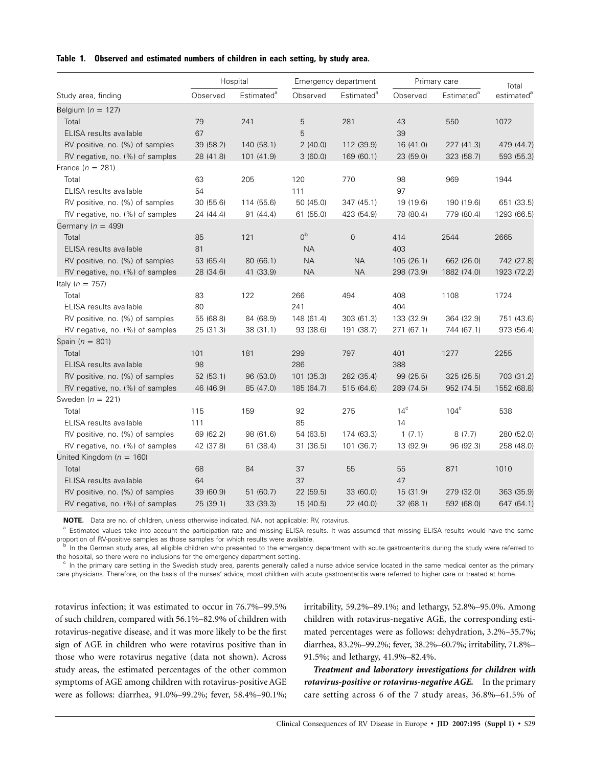## **Table 1. Observed and estimated numbers of children in each setting, by study area.**

|                                 | Hospital  |                        | Emergency department |                        | Primary care |                        | Total                  |
|---------------------------------|-----------|------------------------|----------------------|------------------------|--------------|------------------------|------------------------|
| Study area, finding             | Observed  | Estimated <sup>a</sup> | Observed             | Estimated <sup>a</sup> | Observed     | Estimated <sup>a</sup> | estimated <sup>a</sup> |
| Belgium ( $n = 127$ )           |           |                        |                      |                        |              |                        |                        |
| Total                           | 79        | 241                    | 5                    | 281                    | 43           | 550                    | 1072                   |
| ELISA results available         | 67        |                        | 5                    |                        | 39           |                        |                        |
| RV positive, no. (%) of samples | 39 (58.2) | 140 (58.1)             | 2(40.0)              | 112 (39.9)             | 16(41.0)     | 227 (41.3)             | 479 (44.7)             |
| RV negative, no. (%) of samples | 28 (41.8) | 101 (41.9)             | 3(60.0)              | 169 (60.1)             | 23 (59.0)    | 323 (58.7)             | 593 (55.3)             |
| France $(n = 281)$              |           |                        |                      |                        |              |                        |                        |
| Total                           | 63        | 205                    | 120                  | 770                    | 98           | 969                    | 1944                   |
| ELISA results available         | 54        |                        | 111                  |                        | 97           |                        |                        |
| RV positive, no. (%) of samples | 30(55.6)  | 114 (55.6)             | 50 (45.0)            | 347 (45.1)             | 19 (19.6)    | 190 (19.6)             | 651 (33.5)             |
| RV negative, no. (%) of samples | 24 (44.4) | 91(44.4)               | 61(55.0)             | 423 (54.9)             | 78 (80.4)    | 779 (80.4)             | 1293 (66.5)            |
| Germany ( $n = 499$ )           |           |                        |                      |                        |              |                        |                        |
| Total                           | 85        | 121                    | 0 <sup>b</sup>       | $\mathbf 0$            | 414          | 2544                   | 2665                   |
| ELISA results available         | 81        |                        | <b>NA</b>            |                        | 403          |                        |                        |
| RV positive, no. (%) of samples | 53 (65.4) | 80 (66.1)              | <b>NA</b>            | <b>NA</b>              | 105(26.1)    | 662 (26.0)             | 742 (27.8)             |
| RV negative, no. (%) of samples | 28 (34.6) | 41 (33.9)              | <b>NA</b>            | <b>NA</b>              | 298 (73.9)   | 1882 (74.0)            | 1923 (72.2)            |
| Italy ( $n = 757$ )             |           |                        |                      |                        |              |                        |                        |
| Total                           | 83        | 122                    | 266                  | 494                    | 408          | 1108                   | 1724                   |
| ELISA results available         | 80        |                        | 241                  |                        | 404          |                        |                        |
| RV positive, no. (%) of samples | 55 (68.8) | 84 (68.9)              | 148 (61.4)           | 303 (61.3)             | 133 (32.9)   | 364 (32.9)             | 751 (43.6)             |
| RV negative, no. (%) of samples | 25 (31.3) | 38 (31.1)              | 93 (38.6)            | 191 (38.7)             | 271 (67.1)   | 744 (67.1)             | 973 (56.4)             |
| Spain ( $n = 801$ )             |           |                        |                      |                        |              |                        |                        |
| Total                           | 101       | 181                    | 299                  | 797                    | 401          | 1277                   | 2255                   |
| ELISA results available         | 98        |                        | 286                  |                        | 388          |                        |                        |
| RV positive, no. (%) of samples | 52(53.1)  | 96 (53.0)              | 101 (35.3)           | 282 (35.4)             | 99 (25.5)    | 325 (25.5)             | 703 (31.2)             |
| RV negative, no. (%) of samples | 46 (46.9) | 85 (47.0)              | 185 (64.7)           | 515 (64.6)             | 289 (74.5)   | 952 (74.5)             | 1552 (68.8)            |
| Sweden ( $n = 221$ )            |           |                        |                      |                        |              |                        |                        |
| Total                           | 115       | 159                    | 92                   | 275                    | $14^{\circ}$ | $104^\circ$            | 538                    |
| ELISA results available         | 111       |                        | 85                   |                        | 14           |                        |                        |
| RV positive, no. (%) of samples | 69 (62.2) | 98 (61.6)              | 54 (63.5)            | 174 (63.3)             | 1(7.1)       | 8(7.7)                 | 280 (52.0)             |
| RV negative, no. (%) of samples | 42 (37.8) | 61 (38.4)              | 31 (36.5)            | 101 (36.7)             | 13 (92.9)    | 96 (92.3)              | 258 (48.0)             |
| United Kingdom ( $n = 160$ )    |           |                        |                      |                        |              |                        |                        |
| Total                           | 68        | 84                     | 37                   | 55                     | 55           | 871                    | 1010                   |
| ELISA results available         | 64        |                        | 37                   |                        | 47           |                        |                        |
| RV positive, no. (%) of samples | 39 (60.9) | 51 (60.7)              | 22 (59.5)            | 33 (60.0)              | 15 (31.9)    | 279 (32.0)             | 363 (35.9)             |
| RV negative, no. (%) of samples | 25 (39.1) | 33 (39.3)              | 15 (40.5)            | 22 (40.0)              | 32 (68.1)    | 592 (68.0)             | 647 (64.1)             |

**NOTE.** Data are no. of children, unless otherwise indicated. NA, not applicable; RV, rotavirus.

<sup>a</sup> Estimated values take into account the participation rate and missing ELISA results. It was assumed that missing ELISA results would have the same proportion of RV-positive samples as those samples for which results were available.<br><sup>b</sup> In the German study area, all eligible children who presented to the emergency department with acute gastroenteritis during the study

the hospital, so there were no inclusions for the emergency department setting.<br><sup>c</sup> In the primary care setting in the Swedish study area, parents generally called a nurse advice service located in the same medical center

care physicians. Therefore, on the basis of the nurses' advice, most children with acute gastroenteritis were referred to higher care or treated at home.

rotavirus infection; it was estimated to occur in 76.7%–99.5% of such children, compared with 56.1%–82.9% of children with rotavirus-negative disease, and it was more likely to be the first sign of AGE in children who were rotavirus positive than in those who were rotavirus negative (data not shown). Across study areas, the estimated percentages of the other common symptoms of AGE among children with rotavirus-positive AGE were as follows: diarrhea, 91.0%–99.2%; fever, 58.4%–90.1%; irritability, 59.2%–89.1%; and lethargy, 52.8%–95.0%. Among children with rotavirus-negative AGE, the corresponding estimated percentages were as follows: dehydration, 3.2%–35.7%; diarrhea, 83.2%–99.2%; fever, 38.2%–60.7%; irritability, 71.8%– 91.5%; and lethargy, 41.9%–82.4%.

*Treatment and laboratory investigations for children with rotavirus-positive or rotavirus-negative AGE.* In the primary care setting across 6 of the 7 study areas, 36.8%–61.5% of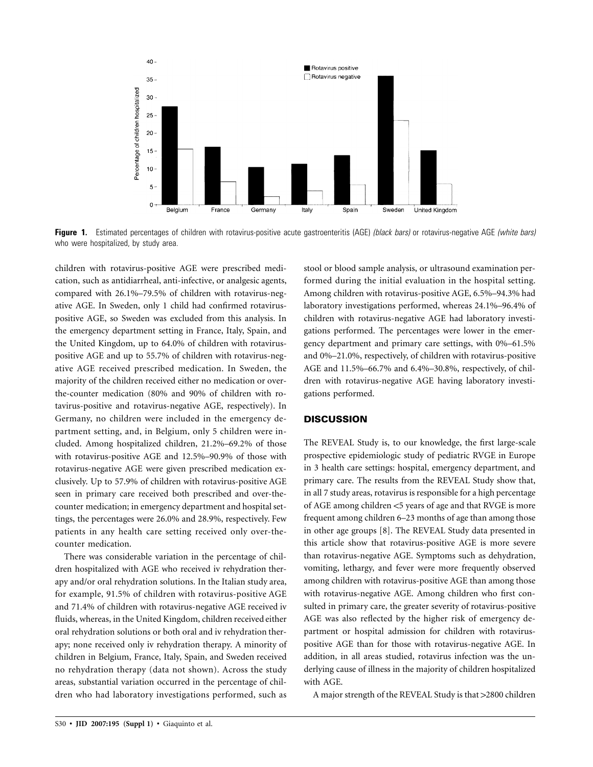

**Figure 1.** Estimated percentages of children with rotavirus-positive acute gastroenteritis (AGE) *(black bars)* or rotavirus-negative AGE *(white bars)* who were hospitalized, by study area.

children with rotavirus-positive AGE were prescribed medication, such as antidiarrheal, anti-infective, or analgesic agents, compared with 26.1%–79.5% of children with rotavirus-negative AGE. In Sweden, only 1 child had confirmed rotaviruspositive AGE, so Sweden was excluded from this analysis. In the emergency department setting in France, Italy, Spain, and the United Kingdom, up to 64.0% of children with rotaviruspositive AGE and up to 55.7% of children with rotavirus-negative AGE received prescribed medication. In Sweden, the majority of the children received either no medication or overthe-counter medication (80% and 90% of children with rotavirus-positive and rotavirus-negative AGE, respectively). In Germany, no children were included in the emergency department setting, and, in Belgium, only 5 children were included. Among hospitalized children, 21.2%–69.2% of those with rotavirus-positive AGE and 12.5%–90.9% of those with rotavirus-negative AGE were given prescribed medication exclusively. Up to 57.9% of children with rotavirus-positive AGE seen in primary care received both prescribed and over-thecounter medication; in emergency department and hospital settings, the percentages were 26.0% and 28.9%, respectively. Few patients in any health care setting received only over-thecounter medication.

There was considerable variation in the percentage of children hospitalized with AGE who received iv rehydration therapy and/or oral rehydration solutions. In the Italian study area, for example, 91.5% of children with rotavirus-positive AGE and 71.4% of children with rotavirus-negative AGE received iv fluids, whereas, in the United Kingdom, children received either oral rehydration solutions or both oral and iv rehydration therapy; none received only iv rehydration therapy. A minority of children in Belgium, France, Italy, Spain, and Sweden received no rehydration therapy (data not shown). Across the study areas, substantial variation occurred in the percentage of children who had laboratory investigations performed, such as

stool or blood sample analysis, or ultrasound examination performed during the initial evaluation in the hospital setting. Among children with rotavirus-positive AGE, 6.5%–94.3% had laboratory investigations performed, whereas 24.1%–96.4% of children with rotavirus-negative AGE had laboratory investigations performed. The percentages were lower in the emergency department and primary care settings, with 0%–61.5% and 0%–21.0%, respectively, of children with rotavirus-positive AGE and 11.5%–66.7% and 6.4%–30.8%, respectively, of children with rotavirus-negative AGE having laboratory investigations performed.

## **DISCUSSION**

The REVEAL Study is, to our knowledge, the first large-scale prospective epidemiologic study of pediatric RVGE in Europe in 3 health care settings: hospital, emergency department, and primary care. The results from the REVEAL Study show that, in all 7 study areas, rotavirus is responsible for a high percentage of AGE among children <5 years of age and that RVGE is more frequent among children 6–23 months of age than among those in other age groups [8]. The REVEAL Study data presented in this article show that rotavirus-positive AGE is more severe than rotavirus-negative AGE. Symptoms such as dehydration, vomiting, lethargy, and fever were more frequently observed among children with rotavirus-positive AGE than among those with rotavirus-negative AGE. Among children who first consulted in primary care, the greater severity of rotavirus-positive AGE was also reflected by the higher risk of emergency department or hospital admission for children with rotaviruspositive AGE than for those with rotavirus-negative AGE. In addition, in all areas studied, rotavirus infection was the underlying cause of illness in the majority of children hospitalized with AGE.

A major strength of the REVEAL Study is that >2800 children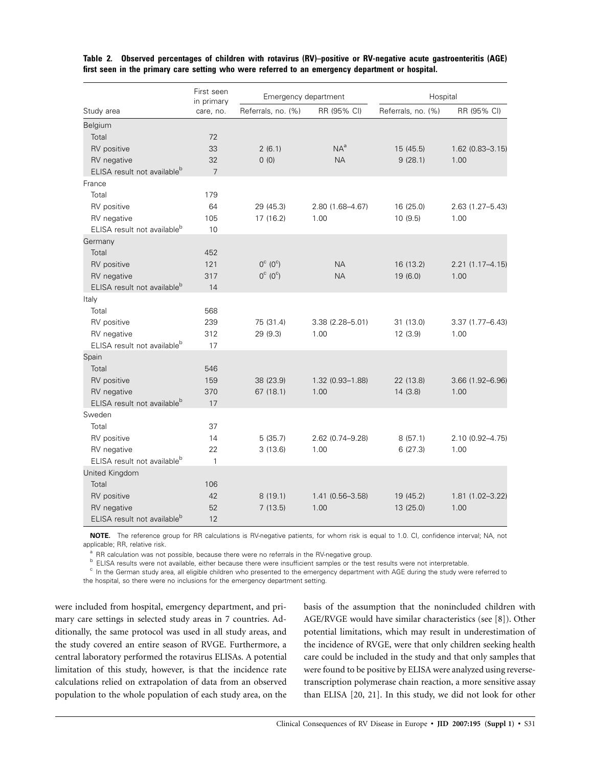|                                         | First seen<br>in primary | Emergency department        |                     | Hospital           |                     |  |
|-----------------------------------------|--------------------------|-----------------------------|---------------------|--------------------|---------------------|--|
| Study area                              | care, no.                | Referrals, no. (%)          | RR (95% CI)         | Referrals, no. (%) | RR (95% CI)         |  |
| Belgium                                 |                          |                             |                     |                    |                     |  |
| Total                                   | 72                       |                             |                     |                    |                     |  |
| RV positive                             | 33                       | 2(6.1)                      | $NA^a$              | 15 (45.5)          | 1.62 (0.83-3.15)    |  |
| RV negative                             | 32                       | 0(0)                        | <b>NA</b>           | 9(28.1)            | 1.00                |  |
| ELISA result not available <sup>b</sup> | $\overline{7}$           |                             |                     |                    |                     |  |
| France                                  |                          |                             |                     |                    |                     |  |
| Total                                   | 179                      |                             |                     |                    |                     |  |
| RV positive                             | 64                       | 29 (45.3)                   | 2.80 (1.68-4.67)    | 16 (25.0)          | 2.63 (1.27-5.43)    |  |
| RV negative                             | 105                      | 17 (16.2)                   | 1.00                | 10(9.5)            | 1.00                |  |
| ELISA result not available <sup>b</sup> | 10                       |                             |                     |                    |                     |  |
| Germany                                 |                          |                             |                     |                    |                     |  |
| Total                                   | 452                      |                             |                     |                    |                     |  |
| RV positive                             | 121                      | $0^{\circ}$ ( $0^{\circ}$ ) | <b>NA</b>           | 16 (13.2)          | 2.21 (1.17-4.15)    |  |
| RV negative                             | 317                      | $0^{\circ}$ ( $0^{\circ}$ ) | <b>NA</b>           | 19 (6.0)           | 1.00                |  |
| ELISA result not available <sup>b</sup> | 14                       |                             |                     |                    |                     |  |
| Italy                                   |                          |                             |                     |                    |                     |  |
| Total                                   | 568                      |                             |                     |                    |                     |  |
| RV positive                             | 239                      | 75 (31.4)                   | $3.38(2.28 - 5.01)$ | 31 (13.0)          | $3.37(1.77 - 6.43)$ |  |
| RV negative                             | 312                      | 29(9.3)                     | 1.00                | 12(3.9)            | 1.00                |  |
| ELISA result not available <sup>b</sup> | 17                       |                             |                     |                    |                     |  |
| Spain                                   |                          |                             |                     |                    |                     |  |
| Total                                   | 546                      |                             |                     |                    |                     |  |
| RV positive                             | 159                      | 38 (23.9)                   | 1.32 (0.93-1.88)    | 22 (13.8)          | 3.66 (1.92-6.96)    |  |
| RV negative                             | 370                      | 67 (18.1)                   | 1.00                | 14(3.8)            | 1.00                |  |
| ELISA result not available <sup>b</sup> | 17                       |                             |                     |                    |                     |  |
| Sweden                                  |                          |                             |                     |                    |                     |  |
| Total                                   | 37                       |                             |                     |                    |                     |  |
| RV positive                             | 14                       | 5(35.7)                     | 2.62 (0.74-9.28)    | 8(57.1)            | 2.10 (0.92-4.75)    |  |
| RV negative                             | 22                       | 3(13.6)                     | 1.00                | 6(27.3)            | 1.00                |  |
| ELISA result not available <sup>b</sup> | $\mathbf{1}$             |                             |                     |                    |                     |  |
| United Kingdom                          |                          |                             |                     |                    |                     |  |
| Total                                   | 106                      |                             |                     |                    |                     |  |
| RV positive                             | 42                       | 8(19.1)                     | 1.41 (0.56-3.58)    | 19 (45.2)          | 1.81 (1.02-3.22)    |  |
| RV negative                             | 52                       | 7(13.5)                     | 1.00                | 13 (25.0)          | 1.00                |  |
| ELISA result not available <sup>b</sup> | 12                       |                             |                     |                    |                     |  |

**Table 2. Observed percentages of children with rotavirus (RV)–positive or RV-negative acute gastroenteritis (AGE) first seen in the primary care setting who were referred to an emergency department or hospital.**

**NOTE.** The reference group for RR calculations is RV-negative patients, for whom risk is equal to 1.0. CI, confidence interval; NA, not applicable; RR, relative risk.

a RR calculation was not possible, because there were no referrals in the RV-negative group.<br>
<sup>b</sup> ELISA results were not available, either because there were insufficient samples or the test results were not interpretable.

the hospital, so there were no inclusions for the emergency department setting.

were included from hospital, emergency department, and primary care settings in selected study areas in 7 countries. Additionally, the same protocol was used in all study areas, and the study covered an entire season of RVGE. Furthermore, a central laboratory performed the rotavirus ELISAs. A potential limitation of this study, however, is that the incidence rate calculations relied on extrapolation of data from an observed population to the whole population of each study area, on the basis of the assumption that the nonincluded children with AGE/RVGE would have similar characteristics (see [8]). Other potential limitations, which may result in underestimation of the incidence of RVGE, were that only children seeking health care could be included in the study and that only samples that were found to be positive by ELISA were analyzed using reversetranscription polymerase chain reaction, a more sensitive assay than ELISA [20, 21]. In this study, we did not look for other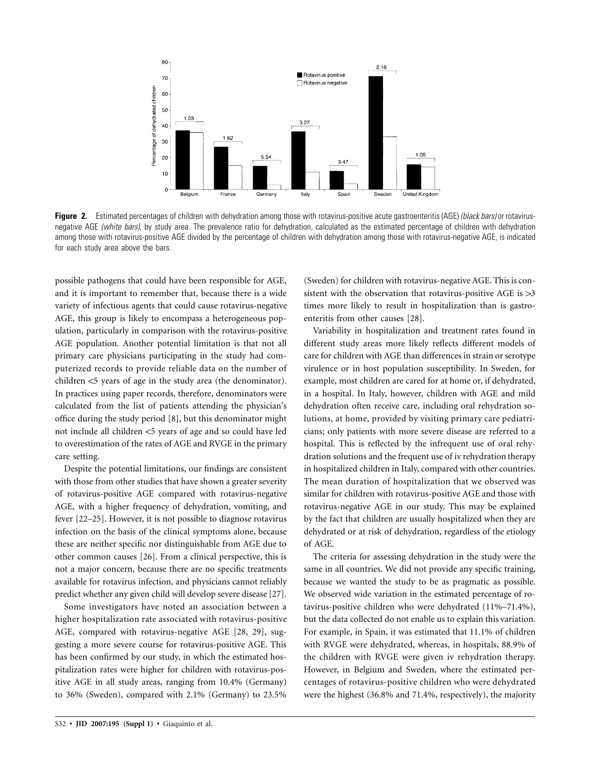

**Figure 2.** Estimated percentages of children with dehydration among those with rotavirus-positive acute gastroenteritis (AGE) *(black bars)* or rotavirusnegative AGE *(white bars),* by study area. The prevalence ratio for dehydration, calculated as the estimated percentage of children with dehydration among those with rotavirus-positive AGE divided by the percentage of children with dehydration among those with rotavirus-negative AGE, is indicated for each study area above the bars.

possible pathogens that could have been responsible for AGE, and it is important to remember that, because there is a wide variety of infectious agents that could cause rotavirus-negative AGE, this group is likely to encompass a heterogeneous population, particularly in comparison with the rotavirus-positive AGE population. Another potential limitation is that not all primary care physicians participating in the study had computerized records to provide reliable data on the number of children  $<$ 5 years of age in the study area (the denominator). In practices using paper records, therefore, denominators were calculated from the list of patients attending the physician's office during the study period [8], but this denominator might not include all children <5 years of age and so could have led to overestimation of the rates of AGE and RVGE in the primary care setting.

Despite the potential limitations, our findings are consistent with those from other studies that have shown a greater severity of rotavirus-positive AGE compared with rotavirus-negative AGE, with a higher frequency of dehydration, vomiting, and fever [22–25]. However, it is not possible to diagnose rotavirus infection on the basis of the clinical symptoms alone, because these are neither specific nor distinguishable from AGE due to other common causes [26]. From a clinical perspective, this is not a major concern, because there are no specific treatments available for rotavirus infection, and physicians cannot reliably predict whether any given child will develop severe disease [27].

Some investigators have noted an association between a higher hospitalization rate associated with rotavirus-positive AGE, compared with rotavirus-negative AGE [28, 29], suggesting a more severe course for rotavirus-positive AGE. This has been confirmed by our study, in which the estimated hospitalization rates were higher for children with rotavirus-positive AGE in all study areas, ranging from 10.4% (Germany) to 36% (Sweden), compared with 2.1% (Germany) to 23.5%

(Sweden) for children with rotavirus-negative AGE. This is consistent with the observation that rotavirus-positive AGE is  $>3$ times more likely to result in hospitalization than is gastroenteritis from other causes [28].

Variability in hospitalization and treatment rates found in different study areas more likely reflects different models of care for children with AGE than differences in strain or serotype virulence or in host population susceptibility. In Sweden, for example, most children are cared for at home or, if dehydrated, in a hospital. In Italy, however, children with AGE and mild dehydration often receive care, including oral rehydration solutions, at home, provided by visiting primary care pediatricians; only patients with more severe disease are referred to a hospital. This is reflected by the infrequent use of oral rehydration solutions and the frequent use of iv rehydration therapy in hospitalized children in Italy, compared with other countries. The mean duration of hospitalization that we observed was similar for children with rotavirus-positive AGE and those with rotavirus-negative AGE in our study. This may be explained by the fact that children are usually hospitalized when they are dehydrated or at risk of dehydration, regardless of the etiology of AGE.

The criteria for assessing dehydration in the study were the same in all countries. We did not provide any specific training, because we wanted the study to be as pragmatic as possible. We observed wide variation in the estimated percentage of rotavirus-positive children who were dehydrated (11%–71.4%), but the data collected do not enable us to explain this variation. For example, in Spain, it was estimated that 11.1% of children with RVGE were dehydrated, whereas, in hospitals, 88.9% of the children with RVGE were given iv rehydration therapy. However, in Belgium and Sweden, where the estimated percentages of rotavirus-positive children who were dehydrated were the highest (36.8% and 71.4%, respectively), the majority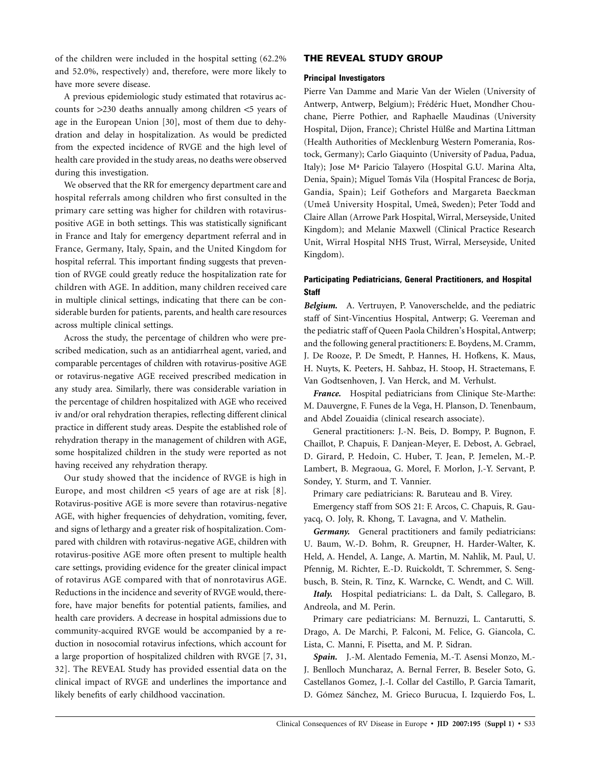of the children were included in the hospital setting (62.2% and 52.0%, respectively) and, therefore, were more likely to have more severe disease.

A previous epidemiologic study estimated that rotavirus accounts for  $>230$  deaths annually among children  $<$ 5 years of age in the European Union [30], most of them due to dehydration and delay in hospitalization. As would be predicted from the expected incidence of RVGE and the high level of health care provided in the study areas, no deaths were observed during this investigation.

We observed that the RR for emergency department care and hospital referrals among children who first consulted in the primary care setting was higher for children with rotaviruspositive AGE in both settings. This was statistically significant in France and Italy for emergency department referral and in France, Germany, Italy, Spain, and the United Kingdom for hospital referral. This important finding suggests that prevention of RVGE could greatly reduce the hospitalization rate for children with AGE. In addition, many children received care in multiple clinical settings, indicating that there can be considerable burden for patients, parents, and health care resources across multiple clinical settings.

Across the study, the percentage of children who were prescribed medication, such as an antidiarrheal agent, varied, and comparable percentages of children with rotavirus-positive AGE or rotavirus-negative AGE received prescribed medication in any study area. Similarly, there was considerable variation in the percentage of children hospitalized with AGE who received iv and/or oral rehydration therapies, reflecting different clinical practice in different study areas. Despite the established role of rehydration therapy in the management of children with AGE, some hospitalized children in the study were reported as not having received any rehydration therapy.

Our study showed that the incidence of RVGE is high in Europe, and most children  $\lt$  5 years of age are at risk [8]. Rotavirus-positive AGE is more severe than rotavirus-negative AGE, with higher frequencies of dehydration, vomiting, fever, and signs of lethargy and a greater risk of hospitalization. Compared with children with rotavirus-negative AGE, children with rotavirus-positive AGE more often present to multiple health care settings, providing evidence for the greater clinical impact of rotavirus AGE compared with that of nonrotavirus AGE. Reductions in the incidence and severity of RVGE would, therefore, have major benefits for potential patients, families, and health care providers. A decrease in hospital admissions due to community-acquired RVGE would be accompanied by a reduction in nosocomial rotavirus infections, which account for a large proportion of hospitalized children with RVGE [7, 31, 32]. The REVEAL Study has provided essential data on the clinical impact of RVGE and underlines the importance and likely benefits of early childhood vaccination.

## **THE REVEAL STUDY GROUP**

#### **Principal Investigators**

Pierre Van Damme and Marie Van der Wielen (University of Antwerp, Antwerp, Belgium); Frédéric Huet, Mondher Chouchane, Pierre Pothier, and Raphaelle Maudinas (University Hospital, Dijon, France); Christel Hülße and Martina Littman (Health Authorities of Mecklenburg Western Pomerania, Rostock, Germany); Carlo Giaquinto (University of Padua, Padua, Italy); Jose Mª Paricio Talayero (Hospital G.U. Marina Alta, Denia, Spain); Miguel Tomás Vila (Hospital Francesc de Borja, Gandia, Spain); Leif Gothefors and Margareta Baeckman (Umeå University Hospital, Umeå, Sweden); Peter Todd and Claire Allan (Arrowe Park Hospital, Wirral, Merseyside, United Kingdom); and Melanie Maxwell (Clinical Practice Research Unit, Wirral Hospital NHS Trust, Wirral, Merseyside, United Kingdom).

# **Participating Pediatricians, General Practitioners, and Hospital Staff**

*Belgium.* A. Vertruyen, P. Vanoverschelde, and the pediatric staff of Sint-Vincentius Hospital, Antwerp; G. Veereman and the pediatric staff of Queen Paola Children's Hospital, Antwerp; and the following general practitioners: E. Boydens, M. Cramm, J. De Rooze, P. De Smedt, P. Hannes, H. Hofkens, K. Maus, H. Nuyts, K. Peeters, H. Sahbaz, H. Stoop, H. Straetemans, F. Van Godtsenhoven, J. Van Herck, and M. Verhulst.

*France.* Hospital pediatricians from Clinique Ste-Marthe: M. Dauvergne, F. Funes de la Vega, H. Planson, D. Tenenbaum, and Abdel Zouaidia (clinical research associate).

General practitioners: J.-N. Beis, D. Bompy, P. Bugnon, F. Chaillot, P. Chapuis, F. Danjean-Meyer, E. Debost, A. Gebrael, D. Girard, P. Hedoin, C. Huber, T. Jean, P. Jemelen, M.-P. Lambert, B. Megraoua, G. Morel, F. Morlon, J.-Y. Servant, P. Sondey, Y. Sturm, and T. Vannier.

Primary care pediatricians: R. Baruteau and B. Virey. Emergency staff from SOS 21: F. Arcos, C. Chapuis, R. Gauyacq, O. Joly, R. Khong, T. Lavagna, and V. Mathelin.

*Germany.* General practitioners and family pediatricians: U. Baum, W.-D. Bohm, R. Greupner, H. Harder-Walter, K. Held, A. Hendel, A. Lange, A. Martin, M. Nahlik, M. Paul, U. Pfennig, M. Richter, E.-D. Ruickoldt, T. Schremmer, S. Sengbusch, B. Stein, R. Tinz, K. Warncke, C. Wendt, and C. Will.

*Italy.* Hospital pediatricians: L. da Dalt, S. Callegaro, B. Andreola, and M. Perin.

Primary care pediatricians: M. Bernuzzi, L. Cantarutti, S. Drago, A. De Marchi, P. Falconi, M. Felice, G. Giancola, C. Lista, C. Manni, F. Pisetta, and M. P. Sidran.

*Spain.* J.-M. Alentado Femenia, M.-T. Asensi Monzo, M.- J. Benlloch Muncharaz, A. Bernal Ferrer, B. Beseler Soto, G. Castellanos Gomez, J.-I. Collar del Castillo, P. Garcia Tamarit, D. Gómez Sánchez, M. Grieco Burucua, I. Izquierdo Fos, L.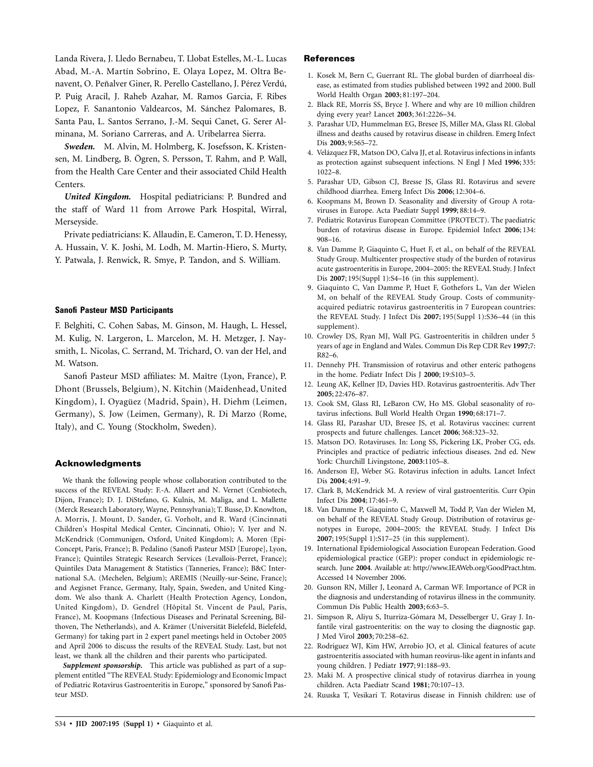Landa Rivera, J. Lledo Bernabeu, T. Llobat Estelles, M.-L. Lucas Abad, M.-A. Martín Sobrino, E. Olaya Lopez, M. Oltra Benavent, O. Peñalver Giner, R. Perello Castellano, J. Pérez Verdú, P. Puig Aracil, J. Raheb Azahar, M. Ramos Garcia, F. Ribes Lopez, F. Sanantonio Valdearcos, M. Sánchez Palomares, B. Santa Pau, L. Santos Serrano, J.-M. Sequi Canet, G. Serer Alminana, M. Soriano Carreras, and A. Uribelarrea Sierra.

*Sweden.* M. Alvin, M. Holmberg, K. Josefsson, K. Kristensen, M. Lindberg, B. Ögren, S. Persson, T. Rahm, and P. Wall, from the Health Care Center and their associated Child Health Centers.

*United Kingdom.* Hospital pediatricians: P. Bundred and the staff of Ward 11 from Arrowe Park Hospital, Wirral, Merseyside.

Private pediatricians: K. Allaudin, E. Cameron, T. D. Henessy, A. Hussain, V. K. Joshi, M. Lodh, M. Martin-Hiero, S. Murty, Y. Patwala, J. Renwick, R. Smye, P. Tandon, and S. William.

## **Sanofi Pasteur MSD Participants**

F. Belghiti, C. Cohen Sabas, M. Ginson, M. Haugh, L. Hessel, M. Kulig, N. Largeron, L. Marcelon, M. H. Metzger, J. Naysmith, L. Nicolas, C. Serrand, M. Trichard, O. van der Hel, and M. Watson.

Sanofi Pasteur MSD affiliates: M. Maître (Lyon, France), P. Dhont (Brussels, Belgium), N. Kitchin (Maidenhead, United Kingdom), I. Oyagüez (Madrid, Spain), H. Diehm (Leimen, Germany), S. Jow (Leimen, Germany), R. Di Marzo (Rome, Italy), and C. Young (Stockholm, Sweden).

#### **Acknowledgments**

We thank the following people whose collaboration contributed to the success of the REVEAL Study: F.-A. Allaert and N. Vernet (Cenbiotech, Dijon, France); D. J. DiStefano, G. Kulnis, M. Maliga, and L. Mallette (Merck Research Laboratory, Wayne, Pennsylvania); T. Busse, D. Knowlton, A. Morris, J. Mount, D. Sander, G. Vorholt, and R. Ward (Cincinnati Children's Hospital Medical Center, Cincinnati, Ohio); V. Iyer and N. McKendrick (Communigen, Oxford, United Kingdom); A. Moren (Epi-Concept, Paris, France); B. Pedalino (Sanofi Pasteur MSD [Europe], Lyon, France); Quintiles Strategic Research Services (Levallois-Perret, France); Quintiles Data Management & Statistics (Tanneries, France); B&C International S.A. (Mechelen, Belgium); AREMIS (Neuilly-sur-Seine, France); and Aegisnet France, Germany, Italy, Spain, Sweden, and United Kingdom. We also thank A. Charlett (Health Protection Agency, London, United Kingdom), D. Gendrel (Hôpital St. Vincent de Paul, Paris, France), M. Koopmans (Infectious Diseases and Perinatal Screening, Bilthoven, The Netherlands), and A. Krämer (Universität Bielefeld, Bielefeld, Germany) for taking part in 2 expert panel meetings held in October 2005 and April 2006 to discuss the results of the REVEAL Study. Last, but not least, we thank all the children and their parents who participated.

*Supplement sponsorship.* This article was published as part of a supplement entitled "The REVEAL Study: Epidemiology and Economic Impact of Pediatric Rotavirus Gastroenteritis in Europe," sponsored by Sanofi Pasteur MSD.

#### **References**

- 1. Kosek M, Bern C, Guerrant RL. The global burden of diarrhoeal disease, as estimated from studies published between 1992 and 2000. Bull World Health Organ **2003**; 81:197–204.
- 2. Black RE, Morris SS, Bryce J. Where and why are 10 million children dying every year? Lancet **2003**; 361:2226–34.
- 3. Parashar UD, Hummelman EG, Bresee JS, Miller MA, Glass RI. Global illness and deaths caused by rotavirus disease in children. Emerg Infect Dis **2003**; 9:565–72.
- 4. Velázquez FR, Matson DO, Calva JJ, et al. Rotavirus infections in infants as protection against subsequent infections. N Engl J Med **1996**; 335: 1022–8.
- 5. Parashar UD, Gibson CJ, Bresse JS, Glass RI. Rotavirus and severe childhood diarrhea. Emerg Infect Dis **2006**; 12:304–6.
- 6. Koopmans M, Brown D. Seasonality and diversity of Group A rotaviruses in Europe. Acta Paediatr Suppl **1999**; 88:14–9.
- 7. Pediatric Rotavirus European Committee (PROTECT). The paediatric burden of rotavirus disease in Europe. Epidemiol Infect **2006**; 134: 908–16.
- 8. Van Damme P, Giaquinto C, Huet F, et al., on behalf of the REVEAL Study Group. Multicenter prospective study of the burden of rotavirus acute gastroenteritis in Europe, 2004–2005: the REVEAL Study. J Infect Dis **2007**; 195(Suppl 1):S4–16 (in this supplement).
- 9. Giaquinto C, Van Damme P, Huet F, Gothefors L, Van der Wielen M, on behalf of the REVEAL Study Group. Costs of communityacquired pediatric rotavirus gastroenteritis in 7 European countries: the REVEAL Study. J Infect Dis **2007**; 195(Suppl 1):S36–44 (in this supplement).
- 10. Crowley DS, Ryan MJ, Wall PG. Gastroenteritis in children under 5 years of age in England and Wales. Commun Dis Rep CDR Rev **1997**;7: R82–6.
- 11. Dennehy PH. Transmission of rotavirus and other enteric pathogens in the home. Pediatr Infect Dis J **2000**; 19:S103–5.
- 12. Leung AK, Kellner JD, Davies HD. Rotavirus gastroenteritis. Adv Ther **2005**; 22:476–87.
- 13. Cook SM, Glass RI, LeBaron CW, Ho MS. Global seasonality of rotavirus infections. Bull World Health Organ **1990**; 68:171–7.
- 14. Glass RI, Parashar UD, Bresee JS, et al. Rotavirus vaccines: current prospects and future challenges. Lancet **2006**; 368:323–32.
- 15. Matson DO. Rotaviruses. In: Long SS, Pickering LK, Prober CG, eds. Principles and practice of pediatric infectious diseases. 2nd ed. New York: Churchill Livingstone, **2003**:1105–8.
- 16. Anderson EJ, Weber SG. Rotavirus infection in adults. Lancet Infect Dis **2004**; 4:91–9.
- 17. Clark B, McKendrick M. A review of viral gastroenteritis. Curr Opin Infect Dis **2004**; 17:461–9.
- 18. Van Damme P, Giaquinto C, Maxwell M, Todd P, Van der Wielen M, on behalf of the REVEAL Study Group. Distribution of rotavirus genotypes in Europe, 2004–2005: the REVEAL Study. J Infect Dis **2007**; 195(Suppl 1):S17–25 (in this supplement).
- 19. International Epidemiological Association European Federation. Good epidemiological practice (GEP): proper conduct in epidemiologic research. June **2004**. Available at: http://www.IEAWeb.org/GoodPract.htm. Accessed 14 November 2006.
- 20. Gunson RN, Miller J, Leonard A, Carman WF. Importance of PCR in the diagnosis and understanding of rotavirus illness in the community. Commun Dis Public Health **2003**; 6:63–5.
- 21. Simpson R, Aliyu S, Iturriza-Gómara M, Desselberger U, Gray J. Infantile viral gastroenteritis: on the way to closing the diagnostic gap. J Med Virol **2003**; 70:258–62.
- 22. Rodriguez WJ, Kim HW, Arrobio JO, et al. Clinical features of acute gastroenteritis associated with human reovirus-like agent in infants and young children. J Pediatr **1977**; 91:188–93.
- 23. Maki M. A prospective clinical study of rotavirus diarrhea in young children. Acta Paediatr Scand **1981**; 70:107–13.
- 24. Ruuska T, Vesikari T. Rotavirus disease in Finnish children: use of